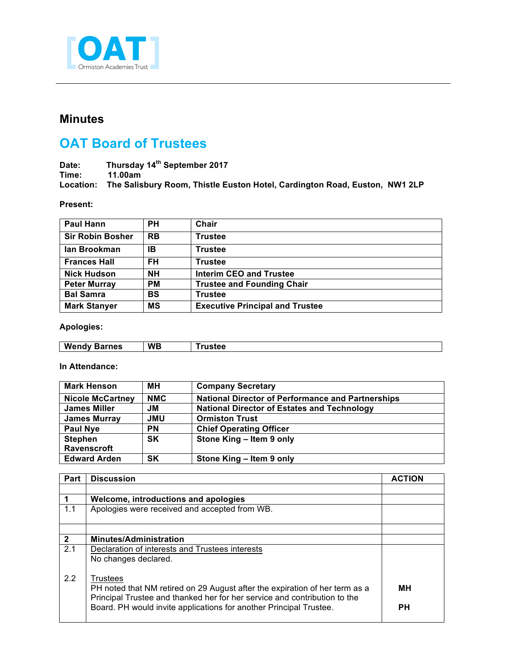

## **Minutes**

## **OAT Board of Trustees**

**Date: Thursday 14th September 2017 Time: 11.00am Location: The Salisbury Room, Thistle Euston Hotel, Cardington Road, Euston, NW1 2LP**

**Present:**

| Paul Hann               | <b>PH</b> | Chair                                  |
|-------------------------|-----------|----------------------------------------|
| <b>Sir Robin Bosher</b> | <b>RB</b> | <b>Trustee</b>                         |
| lan Brookman            | IB        | <b>Trustee</b>                         |
| <b>Frances Hall</b>     | <b>FH</b> | <b>Trustee</b>                         |
| <b>Nick Hudson</b>      | <b>NH</b> | Interim CEO and Trustee                |
| <b>Peter Murray</b>     | <b>PM</b> | <b>Trustee and Founding Chair</b>      |
| <b>Bal Samra</b>        | BS        | <b>Trustee</b>                         |
| <b>Mark Stanyer</b>     | <b>MS</b> | <b>Executive Principal and Trustee</b> |

**Apologies:**

| w<br>rnes<br>.<br>-<br>anuv<br>. | <b>WB</b> |  |
|----------------------------------|-----------|--|

**In Attendance:**

| <b>Mark Henson</b>      | MН         | <b>Company Secretary</b>                                 |
|-------------------------|------------|----------------------------------------------------------|
| <b>Nicole McCartney</b> | <b>NMC</b> | <b>National Director of Performance and Partnerships</b> |
| <b>James Miller</b>     | JМ         | <b>National Director of Estates and Technology</b>       |
| <b>James Murray</b>     | <b>JMU</b> | <b>Ormiston Trust</b>                                    |
| <b>Paul Nye</b>         | <b>PN</b>  | <b>Chief Operating Officer</b>                           |
| <b>Stephen</b>          | <b>SK</b>  | Stone King - Item 9 only                                 |
| Ravenscroft             |            |                                                          |
| <b>Edward Arden</b>     | <b>SK</b>  | Stone King - Item 9 only                                 |

| Part         | <b>Discussion</b>                                                                                                                                                    | <b>ACTION</b> |
|--------------|----------------------------------------------------------------------------------------------------------------------------------------------------------------------|---------------|
|              |                                                                                                                                                                      |               |
|              | Welcome, introductions and apologies                                                                                                                                 |               |
| 1.1          | Apologies were received and accepted from WB.                                                                                                                        |               |
|              |                                                                                                                                                                      |               |
| $\mathbf{2}$ | <b>Minutes/Administration</b>                                                                                                                                        |               |
| 2.1          | Declaration of interests and Trustees interests<br>No changes declared.                                                                                              |               |
| 2.2          | Trustees<br>PH noted that NM retired on 29 August after the expiration of her term as a<br>Principal Trustee and thanked her for her service and contribution to the | MН            |
|              | Board. PH would invite applications for another Principal Trustee.                                                                                                   | <b>PH</b>     |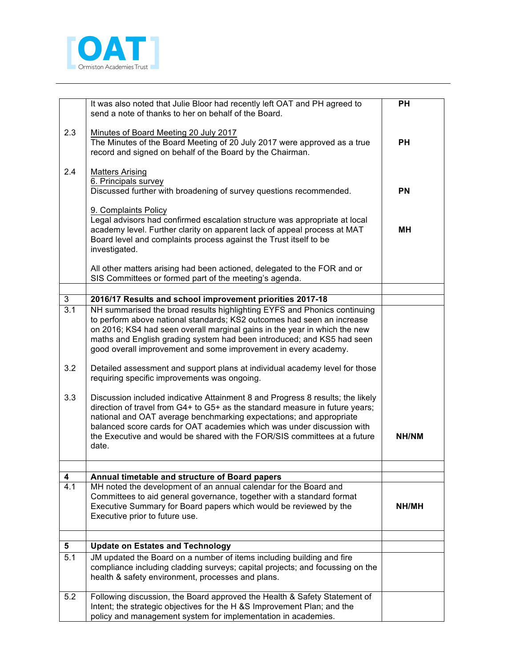

|                | It was also noted that Julie Bloor had recently left OAT and PH agreed to<br>send a note of thanks to her on behalf of the Board.                                                                                                                                                                                                                                                                     | <b>PH</b> |
|----------------|-------------------------------------------------------------------------------------------------------------------------------------------------------------------------------------------------------------------------------------------------------------------------------------------------------------------------------------------------------------------------------------------------------|-----------|
| 2.3            | Minutes of Board Meeting 20 July 2017<br>The Minutes of the Board Meeting of 20 July 2017 were approved as a true<br>record and signed on behalf of the Board by the Chairman.                                                                                                                                                                                                                        | <b>PH</b> |
| 2.4            | <b>Matters Arising</b><br>6. Principals survey<br>Discussed further with broadening of survey questions recommended.                                                                                                                                                                                                                                                                                  | <b>PN</b> |
|                |                                                                                                                                                                                                                                                                                                                                                                                                       |           |
|                | 9. Complaints Policy<br>Legal advisors had confirmed escalation structure was appropriate at local<br>academy level. Further clarity on apparent lack of appeal process at MAT<br>Board level and complaints process against the Trust itself to be<br>investigated.                                                                                                                                  | мн        |
|                | All other matters arising had been actioned, delegated to the FOR and or<br>SIS Committees or formed part of the meeting's agenda.                                                                                                                                                                                                                                                                    |           |
| $\mathfrak{B}$ |                                                                                                                                                                                                                                                                                                                                                                                                       |           |
| 3.1            | 2016/17 Results and school improvement priorities 2017-18<br>NH summarised the broad results highlighting EYFS and Phonics continuing                                                                                                                                                                                                                                                                 |           |
|                | to perform above national standards; KS2 outcomes had seen an increase<br>on 2016; KS4 had seen overall marginal gains in the year in which the new<br>maths and English grading system had been introduced; and KS5 had seen<br>good overall improvement and some improvement in every academy.                                                                                                      |           |
| 3.2            | Detailed assessment and support plans at individual academy level for those<br>requiring specific improvements was ongoing.                                                                                                                                                                                                                                                                           |           |
| 3.3            | Discussion included indicative Attainment 8 and Progress 8 results; the likely<br>direction of travel from G4+ to G5+ as the standard measure in future years;<br>national and OAT average benchmarking expectations; and appropriate<br>balanced score cards for OAT academies which was under discussion with<br>the Executive and would be shared with the FOR/SIS committees at a future<br>date. | NH/NM     |
|                |                                                                                                                                                                                                                                                                                                                                                                                                       |           |
| 4<br>4.1       | Annual timetable and structure of Board papers<br>MH noted the development of an annual calendar for the Board and                                                                                                                                                                                                                                                                                    |           |
|                | Committees to aid general governance, together with a standard format<br>Executive Summary for Board papers which would be reviewed by the<br>Executive prior to future use.                                                                                                                                                                                                                          | NH/MH     |
|                |                                                                                                                                                                                                                                                                                                                                                                                                       |           |
| 5              | <b>Update on Estates and Technology</b>                                                                                                                                                                                                                                                                                                                                                               |           |
| 5.1            | JM updated the Board on a number of items including building and fire<br>compliance including cladding surveys; capital projects; and focussing on the<br>health & safety environment, processes and plans.                                                                                                                                                                                           |           |
| 5.2            | Following discussion, the Board approved the Health & Safety Statement of<br>Intent; the strategic objectives for the H &S Improvement Plan; and the<br>policy and management system for implementation in academies.                                                                                                                                                                                 |           |